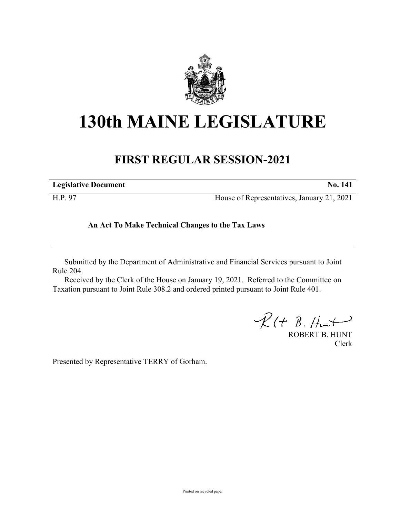

## **130th MAINE LEGISLATURE**

## **FIRST REGULAR SESSION-2021**

| <b>Legislative Document</b> | <b>No.</b> 141                             |
|-----------------------------|--------------------------------------------|
| H.P. 97                     | House of Representatives, January 21, 2021 |

**An Act To Make Technical Changes to the Tax Laws**

Submitted by the Department of Administrative and Financial Services pursuant to Joint Rule 204.

Received by the Clerk of the House on January 19, 2021. Referred to the Committee on Taxation pursuant to Joint Rule 308.2 and ordered printed pursuant to Joint Rule 401.

 $\mathcal{R}(t \; \mathcal{B}, \#m)$ 

ROBERT B. HUNT Clerk

Presented by Representative TERRY of Gorham.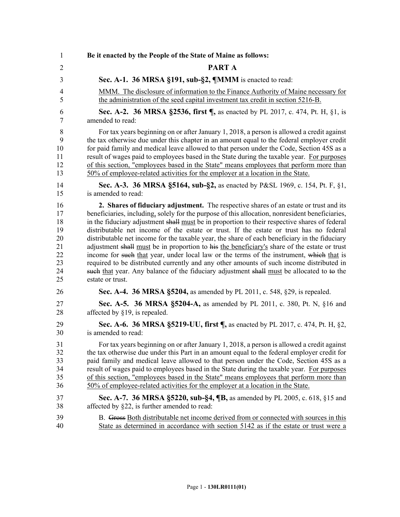1 **Be it enacted by the People of the State of Maine as follows:** 2 **PART A** 3 **Sec. A-1. 36 MRSA §191, sub-§2, ¶MMM** is enacted to read: 4 MMM. The disclosure of information to the Finance Authority of Maine necessary for 5 the administration of the seed capital investment tax credit in section 5216-B. 6 **Sec. A-2. 36 MRSA §2536, first ¶,** as enacted by PL 2017, c. 474, Pt. H, §1, is 7 amended to read: 8 For tax years beginning on or after January 1, 2018, a person is allowed a credit against 9 the tax otherwise due under this chapter in an amount equal to the federal employer credit 10 for paid family and medical leave allowed to that person under the Code, Section 45S as a 11 result of wages paid to employees based in the State during the taxable year. For purposes 12 of this section, "employees based in the State" means employees that perform more than 13 50% of employee-related activities for the employer at a location in the State. 14 **Sec. A-3. 36 MRSA §5164, sub-§2,** as enacted by P&SL 1969, c. 154, Pt. F, §1, 15 is amended to read: 16 **2. Shares of fiduciary adjustment.** The respective shares of an estate or trust and its 17 beneficiaries, including, solely for the purpose of this allocation, nonresident beneficiaries, 18 in the fiduciary adjustment shall must be in proportion to their respective shares of federal 19 distributable net income of the estate or trust. If the estate or trust has no federal 20 distributable net income for the taxable year, the share of each beneficiary in the fiduciary 21 adjustment shall must be in proportion to his the beneficiary's share of the estate or trust 22 income for such that year, under local law or the terms of the instrument, which that is 23 required to be distributed currently and any other amounts of such income distributed in 24 such that year. Any balance of the fiduciary adjustment shall must be allocated to to the 25 estate or trust. 26 **Sec. A-4. 36 MRSA §5204,** as amended by PL 2011, c. 548, §29, is repealed. 27 **Sec. A-5. 36 MRSA §5204-A,** as amended by PL 2011, c. 380, Pt. N, §16 and 28 affected by §19, is repealed. 29 **Sec. A-6. 36 MRSA §5219-UU, first ¶,** as enacted by PL 2017, c. 474, Pt. H, §2, 30 is amended to read: 31 For tax years beginning on or after January 1, 2018, a person is allowed a credit against 32 the tax otherwise due under this Part in an amount equal to the federal employer credit for 33 paid family and medical leave allowed to that person under the Code, Section 45S as a 34 result of wages paid to employees based in the State during the taxable year. For purposes 35 of this section, "employees based in the State" means employees that perform more than 36 50% of employee-related activities for the employer at a location in the State. 37 **Sec. A-7. 36 MRSA §5220, sub-§4, ¶B,** as amended by PL 2005, c. 618, §15 and 38 affected by §22, is further amended to read: 39 B. Gross Both distributable net income derived from or connected with sources in this 40 State as determined in accordance with section 5142 as if the estate or trust were a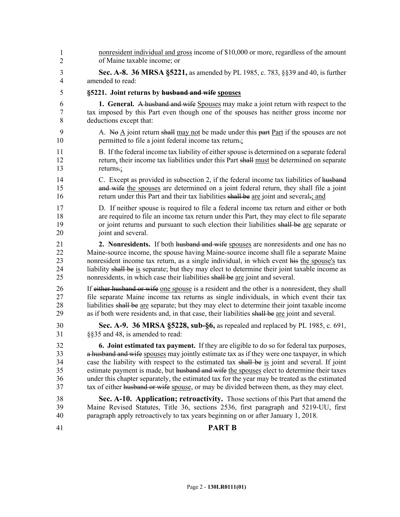nonresident individual and gross income of \$10,000 or more, regardless of the amount of Maine taxable income; or 3 **Sec. A-8. 36 MRSA §5221,** as amended by PL 1985, c. 783, §§39 and 40, is further 4 amended to read: 5 **§5221. Joint returns by husband and wife spouses** 6 **1. General.** A husband and wife Spouses may make a joint return with respect to the 7 tax imposed by this Part even though one of the spouses has neither gross income nor 8 deductions except that: 9 A. No  $\overline{A}$  joint return shall may not be made under this part Part if the spouses are not 10 permitted to file a joint federal income tax return.; 11 B. If the federal income tax liability of either spouse is determined on a separate federal 12 return, their income tax liabilities under this Part shall must be determined on separate 13 returns.; 14 C. Except as provided in subsection 2, if the federal income tax liabilities of husband 15 and wife the spouses are determined on a joint federal return, they shall file a joint 16 return under this Part and their tax liabilities shall be are joint and several.; and 17 D. If neither spouse is required to file a federal income tax return and either or both 18 are required to file an income tax return under this Part, they may elect to file separate 19 or joint returns and pursuant to such election their liabilities shall be are separate or 20 ioint and several. 21 **2. Nonresidents.** If both husband and wife spouses are nonresidents and one has no 22 Maine-source income, the spouse having Maine-source income shall file a separate Maine 23 nonresident income tax return, as a single individual, in which event his the spouse's tax 24 liability shall be is separate; but they may elect to determine their joint taxable income as 25 nonresidents, in which case their liabilities shall be are joint and several. 26 If either husband or wife one spouse is a resident and the other is a nonresident, they shall 27 file separate Maine income tax returns as single individuals, in which event their tax 28 liabilities shall be are separate; but they may elect to determine their joint taxable income 29 as if both were residents and, in that case, their liabilities shall be are joint and several. 30 **Sec. A-9. 36 MRSA §5228, sub-§6,** as repealed and replaced by PL 1985, c. 691, 31 §§35 and 48, is amended to read: 32 **6. Joint estimated tax payment.** If they are eligible to do so for federal tax purposes, 33 a husband and wife spouses may jointly estimate tax as if they were one taxpayer, in which 34 case the liability with respect to the estimated tax shall be is joint and several. If joint 35 estimate payment is made, but husband and wife the spouses elect to determine their taxes 36 under this chapter separately, the estimated tax for the year may be treated as the estimated 37 tax of either husband or wife spouse, or may be divided between them, as they may elect. 38 **Sec. A-10. Application; retroactivity.** Those sections of this Part that amend the 39 Maine Revised Statutes, Title 36, sections 2536, first paragraph and 5219-UU, first 40 paragraph apply retroactively to tax years beginning on or after January 1, 2018. 41 **PART B** 1 2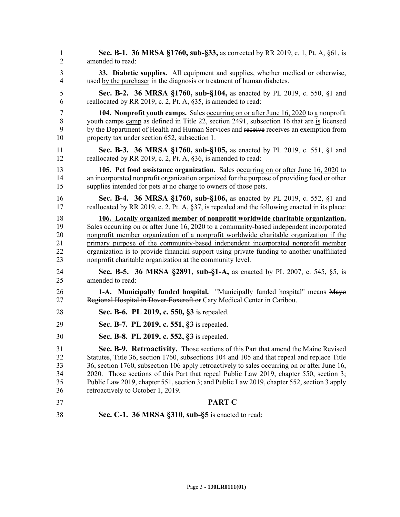1 **Sec. B-1. 36 MRSA §1760, sub-§33,** as corrected by RR 2019, c. 1, Pt. A, §61, is 2 amended to read: 3 **33. Diabetic supplies.** All equipment and supplies, whether medical or otherwise, 4 used by the purchaser in the diagnosis or treatment of human diabetes. 5 **Sec. B-2. 36 MRSA §1760, sub-§104,** as enacted by PL 2019, c. 550, §1 and 6 reallocated by RR 2019, c. 2, Pt. A, §35, is amended to read: 7 **104. Nonprofit youth camps.** Sales occurring on or after June 16, 2020 to a nonprofit 8 youth camps camp as defined in Title 22, section 2491, subsection 16 that are is licensed 9 by the Department of Health and Human Services and receive receives an exemption from 10 property tax under section 652, subsection 1. 11 **Sec. B-3. 36 MRSA §1760, sub-§105,** as enacted by PL 2019, c. 551, §1 and 12 reallocated by RR 2019, c. 2, Pt. A, §36, is amended to read: 13 **105. Pet food assistance organization.** Sales occurring on or after June 16, 2020 to 14 an incorporated nonprofit organization organized for the purpose of providing food or other 15 supplies intended for pets at no charge to owners of those pets. 16 **Sec. B-4. 36 MRSA §1760, sub-§106,** as enacted by PL 2019, c. 552, §1 and 17 reallocated by RR 2019, c. 2, Pt. A, §37, is repealed and the following enacted in its place: 18 **106. Locally organized member of nonprofit worldwide charitable organization.**  19 Sales occurring on or after June 16, 2020 to a community-based independent incorporated 20 nonprofit member organization of a nonprofit worldwide charitable organization if the 21 primary purpose of the community-based independent incorporated nonprofit member 22 organization is to provide financial support using private funding to another unaffiliated 23 nonprofit charitable organization at the community level. 24 **Sec. B-5. 36 MRSA §2891, sub-§1-A,** as enacted by PL 2007, c. 545, §5, is 25 amended to read: 26 **1-A. Municipally funded hospital.** "Municipally funded hospital" means Mayo 27 Regional Hospital in Dover-Foxcroft or Cary Medical Center in Caribou. 28 **Sec. B-6. PL 2019, c. 550, §3** is repealed. 29 **Sec. B-7. PL 2019, c. 551, §3** is repealed. 30 **Sec. B-8. PL 2019, c. 552, §3** is repealed. 31 **Sec. B-9. Retroactivity.** Those sections of this Part that amend the Maine Revised 32 Statutes, Title 36, section 1760, subsections 104 and 105 and that repeal and replace Title 33 36, section 1760, subsection 106 apply retroactively to sales occurring on or after June 16, 34 2020. Those sections of this Part that repeal Public Law 2019, chapter 550, section 3; 35 Public Law 2019, chapter 551, section 3; and Public Law 2019, chapter 552, section 3 apply 36 retroactively to October 1, 2019. 37 **PART C** 38 **Sec. C-1. 36 MRSA §310, sub-§5** is enacted to read: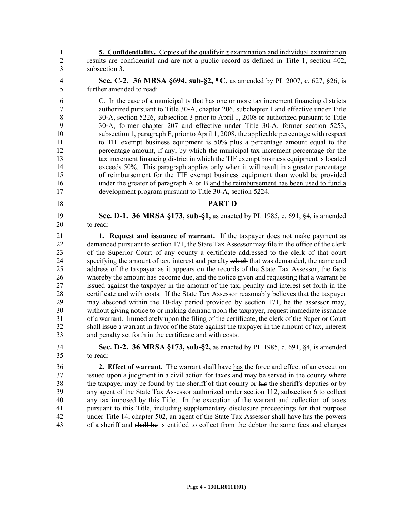1 **5. Confidentiality.** Copies of the qualifying examination and individual examination 2 results are confidential and are not a public record as defined in Title 1, section 402, 3 subsection 3.

4 **Sec. C-2. 36 MRSA §694, sub-§2, ¶C,** as amended by PL 2007, c. 627, §26, is 5 further amended to read:

6 C. In the case of a municipality that has one or more tax increment financing districts 7 authorized pursuant to Title 30‑A, chapter 206, subchapter 1 and effective under Title 8 30‐A, section 5226, subsection 3 prior to April 1, 2008 or authorized pursuant to Title 9 30‑A, former chapter 207 and effective under Title 30-A, former section 5253, 10 subsection 1, paragraph F, prior to April 1, 2008, the applicable percentage with respect 11 to TIF exempt business equipment is 50% plus a percentage amount equal to the 12 percentage amount, if any, by which the municipal tax increment percentage for the 13 tax increment financing district in which the TIF exempt business equipment is located 14 exceeds 50%. This paragraph applies only when it will result in a greater percentage 15 of reimbursement for the TIF exempt business equipment than would be provided 16 under the greater of paragraph A or B and the reimbursement has been used to fund a 17 development program pursuant to Title 30-A, section 5224.

## 18 **PART D**

19 **Sec. D-1. 36 MRSA §173, sub-§1,** as enacted by PL 1985, c. 691, §4, is amended 20 to read:

21 **1. Request and issuance of warrant.** If the taxpayer does not make payment as 22 demanded pursuant to section 171, the State Tax Assessor may file in the office of the clerk 23 of the Superior Court of any county a certificate addressed to the clerk of that court 24 specifying the amount of tax, interest and penalty which that was demanded, the name and 25 address of the taxpayer as it appears on the records of the State Tax Assessor, the facts 26 whereby the amount has become due, and the notice given and requesting that a warrant be 27 issued against the taxpayer in the amount of the tax, penalty and interest set forth in the 28 certificate and with costs. If the State Tax Assessor reasonably believes that the taxpayer 29 may abscond within the 10-day period provided by section 171, he the assessor may, 30 without giving notice to or making demand upon the taxpayer, request immediate issuance 31 of a warrant. Immediately upon the filing of the certificate, the clerk of the Superior Court 32 shall issue a warrant in favor of the State against the taxpayer in the amount of tax, interest 33 and penalty set forth in the certificate and with costs.

34 **Sec. D-2. 36 MRSA §173, sub-§2,** as enacted by PL 1985, c. 691, §4, is amended 35 to read:

36 **2. Effect of warrant.** The warrant shall have has the force and effect of an execution 37 issued upon a judgment in a civil action for taxes and may be served in the county where 38 the taxpayer may be found by the sheriff of that county or his the sheriff's deputies or by 39 any agent of the State Tax Assessor authorized under section 112, subsection 6 to collect 40 any tax imposed by this Title. In the execution of the warrant and collection of taxes 41 pursuant to this Title, including supplementary disclosure proceedings for that purpose 42 under Title 14, chapter 502, an agent of the State Tax Assessor shall have has the powers 43 of a sheriff and shall be is entitled to collect from the debtor the same fees and charges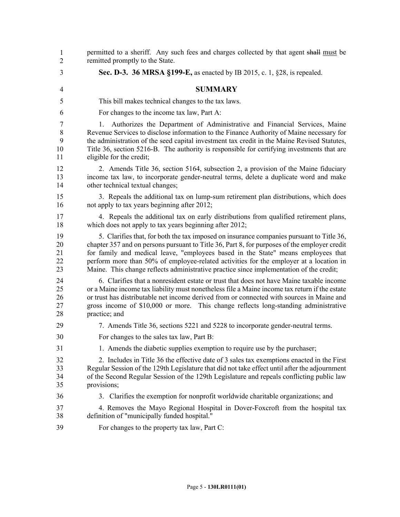| $\mathbf{1}$<br>$\overline{2}$       | permitted to a sheriff. Any such fees and charges collected by that agent shall must be<br>remitted promptly to the State.                                                                                                                                                                                                                                                                                                                                         |
|--------------------------------------|--------------------------------------------------------------------------------------------------------------------------------------------------------------------------------------------------------------------------------------------------------------------------------------------------------------------------------------------------------------------------------------------------------------------------------------------------------------------|
| 3                                    | Sec. D-3. 36 MRSA §199-E, as enacted by IB 2015, c. 1, §28, is repealed.                                                                                                                                                                                                                                                                                                                                                                                           |
| 4                                    | <b>SUMMARY</b>                                                                                                                                                                                                                                                                                                                                                                                                                                                     |
| 5                                    | This bill makes technical changes to the tax laws.                                                                                                                                                                                                                                                                                                                                                                                                                 |
| 6                                    | For changes to the income tax law, Part A:                                                                                                                                                                                                                                                                                                                                                                                                                         |
| $\overline{7}$<br>8<br>9<br>10<br>11 | Authorizes the Department of Administrative and Financial Services, Maine<br>1.<br>Revenue Services to disclose information to the Finance Authority of Maine necessary for<br>the administration of the seed capital investment tax credit in the Maine Revised Statutes,<br>Title 36, section 5216-B. The authority is responsible for certifying investments that are<br>eligible for the credit;                                                               |
| 12<br>13<br>14                       | 2. Amends Title 36, section 5164, subsection 2, a provision of the Maine fiduciary<br>income tax law, to incorporate gender-neutral terms, delete a duplicate word and make<br>other technical textual changes;                                                                                                                                                                                                                                                    |
| 15<br>16                             | 3. Repeals the additional tax on lump-sum retirement plan distributions, which does<br>not apply to tax years beginning after 2012;                                                                                                                                                                                                                                                                                                                                |
| 17<br>18                             | 4. Repeals the additional tax on early distributions from qualified retirement plans,<br>which does not apply to tax years beginning after 2012;                                                                                                                                                                                                                                                                                                                   |
| 19<br>20<br>21<br>22<br>23           | 5. Clarifies that, for both the tax imposed on insurance companies pursuant to Title 36,<br>chapter 357 and on persons pursuant to Title 36, Part 8, for purposes of the employer credit<br>for family and medical leave, "employees based in the State" means employees that<br>perform more than 50% of employee-related activities for the employer at a location in<br>Maine. This change reflects administrative practice since implementation of the credit; |
| 24<br>25<br>26<br>27<br>28           | 6. Clarifies that a nonresident estate or trust that does not have Maine taxable income<br>or a Maine income tax liability must nonetheless file a Maine income tax return if the estate<br>or trust has distributable net income derived from or connected with sources in Maine and<br>gross income of \$10,000 or more. This change reflects long-standing administrative<br>practice; and                                                                      |
| 29                                   | 7. Amends Title 36, sections 5221 and 5228 to incorporate gender-neutral terms.                                                                                                                                                                                                                                                                                                                                                                                    |
| 30                                   | For changes to the sales tax law, Part B:                                                                                                                                                                                                                                                                                                                                                                                                                          |
| 31                                   | 1. Amends the diabetic supplies exemption to require use by the purchaser;                                                                                                                                                                                                                                                                                                                                                                                         |
| 32<br>33<br>34<br>35                 | 2. Includes in Title 36 the effective date of 3 sales tax exemptions enacted in the First<br>Regular Session of the 129th Legislature that did not take effect until after the adjournment<br>of the Second Regular Session of the 129th Legislature and repeals conflicting public law<br>provisions;                                                                                                                                                             |
| 36                                   | 3. Clarifies the exemption for nonprofit worldwide charitable organizations; and                                                                                                                                                                                                                                                                                                                                                                                   |
| 37<br>38                             | 4. Removes the Mayo Regional Hospital in Dover-Foxcroft from the hospital tax<br>definition of "municipally funded hospital."                                                                                                                                                                                                                                                                                                                                      |
| 39                                   | For changes to the property tax law, Part C:                                                                                                                                                                                                                                                                                                                                                                                                                       |